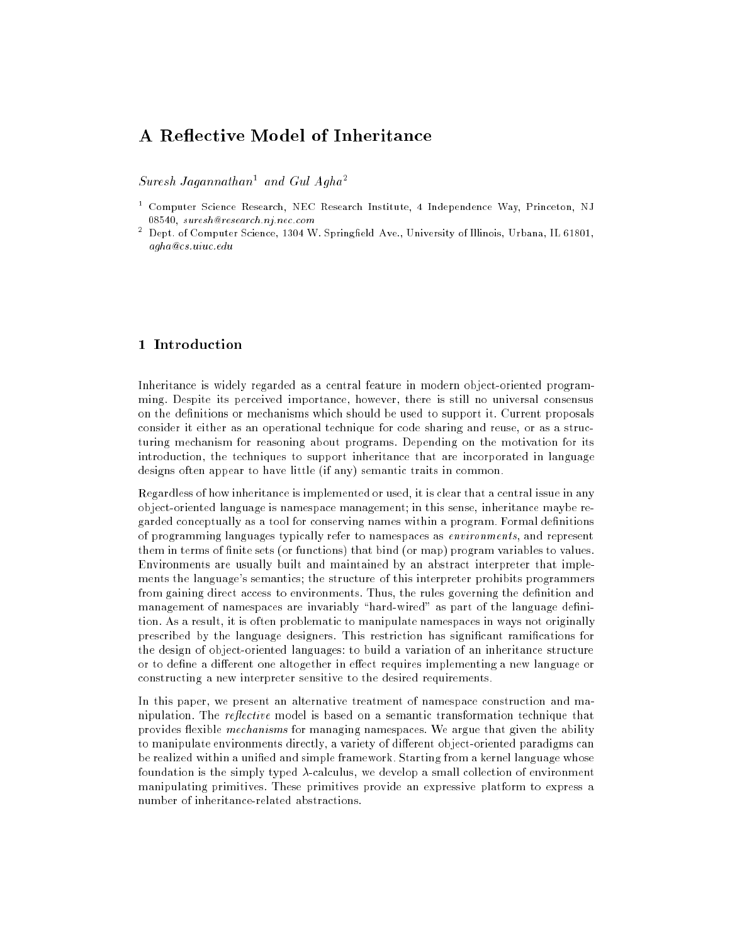# A Re
ective Model of Inheritance

suresh Jaqannathan<sup>-</sup> ana Gut Agha<sup>-</sup>

. Computer Science Research, NEC Research Institute, 4 Independence Way, Princeton, NJ 08540, suresh@research.nj.nec.com

– Dept. of Computer Science, 1304 W. Springfield Ave., University of Illinois, Urbana, 1L 61801, agha@cs.uiuc.edu

## 1 Introduction

Inheritance is widely regarded as a central feature in modern object-oriented programming. Despite its perceived importance, however, there is still no universal consensus on the definitions or mechanisms which should be used to support it. Current proposals consider it either as an operational technique for code sharing and reuse, or as a structuring mechanism for reasoning about programs. Depending on the motivation for its introduction, the techniques to support inheritance that are incorporated in language designs often appear to have little (if any) semantic traits in common.

Regardless of how inheritance is implemented or used, it is clear that a central issue in any object-oriented language is namespace management; in this sense, inheritance maybe regarded conceptually as a tool for conserving names within a program. Formal definitions of programming languages typically refer to namespaces as environments, and represent them in terms of finite sets (or functions) that bind (or map) program variables to values. Environments are usually built and maintained by an abstract interpreter that implements the language's semantics; the structure of this interpreter prohibits programmers from gaining direct access to environments. Thus, the rules governing the definition and management of namespaces are invariably "hard-wired" as part of the language definition. As a result, it is often problematic to manipulate namespaces in ways not originally prescribed by the language designers. This restriction has signicant ramications for the design of object-oriented languages: to build a variation of an inheritance structure or to define a different one altogether in effect requires implementing a new language or constructing a new interpreter sensitive to the desired requirements.

In this paper, we present an alternative treatment of namespace construction and manipulation. The *reflective* model is based on a semantic transformation technique that provides flexible *mechanisms* for managing namespaces. We argue that given the ability to manipulate environments directly, a variety of different object-oriented paradigms can be realized within a unified and simple framework. Starting from a kernel language whose foundation is the simply typed  $\lambda$ -calculus, we develop a small collection of environment manipulating primitives. These primitives provide an expressive platform to express a number of inheritance-related abstractions.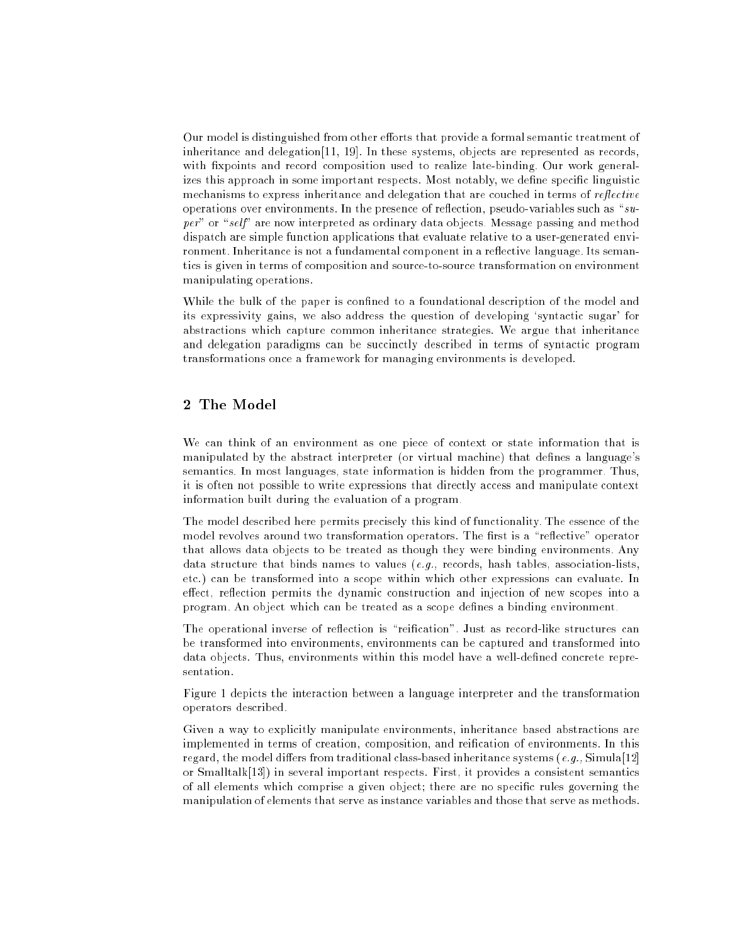Our model is distinguished from other efforts that provide a formal semantic treatment of inheritance and delegation[11, 19]. In these systems, objects are represented as records, with fixpoints and record composition used to realize late-binding. Our work generalizes this approach in some important respects. Most notably, we define specific linguistic mechanisms to express inheritance and delegation that are couched in terms of reflective operations over environments. In the presence of reflection, pseudo-variables such as " $su$ per" or " $self$ " are now interpreted as ordinary data objects. Message passing and method dispatch are simple function applications that evaluate relative to a user-generated environment. Inheritance is not a fundamental component in a reflective language. Its semantics is given in terms of composition and source-to-source transformation on environment manipulating operations.

While the bulk of the paper is confined to a foundational description of the model and its expressivity gains, we also address the question of developing `syntactic sugar' for abstractions which capture common inheritance strategies. We argue that inheritance and delegation paradigms can be succinctly described in terms of syntactic program transformations once a framework for managing environments is developed.

## 2 The Model

We can think of an environment as one piece of context or state information that is manipulated by the abstract interpreter (or virtual machine) that defines a language's semantics. In most languages, state information is hidden from the programmer. Thus, it is often not possible to write expressions that directly access and manipulate context information built during the evaluation of a program.

The model described here permits precisely this kind of functionality. The essence of the model revolves around two transformation operators. The first is a "reflective" operator that allows data objects to be treated as though they were binding environments. Any data structure that binds names to values (e.g., records, hash tables, association-lists, etc.) can be transformed into a scope within which other expressions can evaluate. In effect, reflection permits the dynamic construction and injection of new scopes into a program. An object which can be treated as a scope denes a binding environment.

The operational inverse of reflection is "reification". Just as record-like structures can be transformed into environments, environments can be captured and transformed into data objects. Thus, environments within this model have a well-defined concrete representation.

Figure 1 depicts the interaction between a language interpreter and the transformation operators described.

Given a way to explicitly manipulate environments, inheritance based abstractions are implemented in terms of creation, composition, and reication of environments. In this regard, the model differs from traditional class-based inheritance systems (e.g., Simula [12] or Smalltalk[13]) in several important respects. First, it provides a consistent semantics of all elements which comprise a given object; there are no specic rules governing the manipulation of elements that serve as instance variables and those that serve as methods.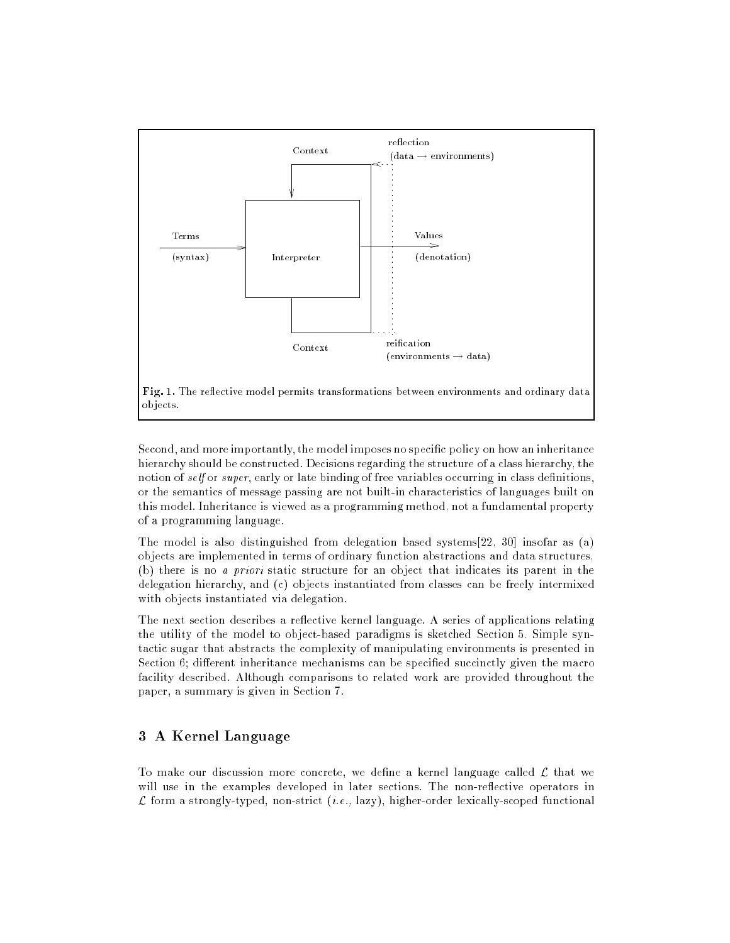

Second, and more importantly, the model imposes no specic policy on how an inheritance hierarchy should be constructed. Decisions regarding the structure of a class hierarchy, the notion of self or super, early or late binding of free variables occurring in class definitions, or the semantics of message passing are not built-in characteristics of languages built on this model. Inheritance is viewed as a programming method, not a fundamental property of a programming language.

The model is also distinguished from delegation based systems[22, 30] insofar as (a) objects are implemented in terms of ordinary function abstractions and data structures, (b) there is no <sup>a</sup> priori static structure for an object that indicates its parent in the delegation hierarchy, and (c) objects instantiated from classes can be freely intermixed with objects instantiated via delegation.

The next section describes a reflective kernel language. A series of applications relating the utility of the model to object-based paradigms is sketched Section 5. Simple syntactic sugar that abstracts the complexity of manipulating environments is presented in Section 6; different inheritance mechanisms can be specified succinctly given the macro facility described. Although comparisons to related work are provided throughout the paper, a summary is given in Section 7.

## 3 A Kernel Language

To make our discussion more concrete, we define a kernel language called  $\mathcal L$  that we will use in the examples developed in later sections. The non-reflective operators in  $\mathcal L$  form a strongly-typed, non-strict (*i.e.*, lazy), higher-order lexically-scoped functional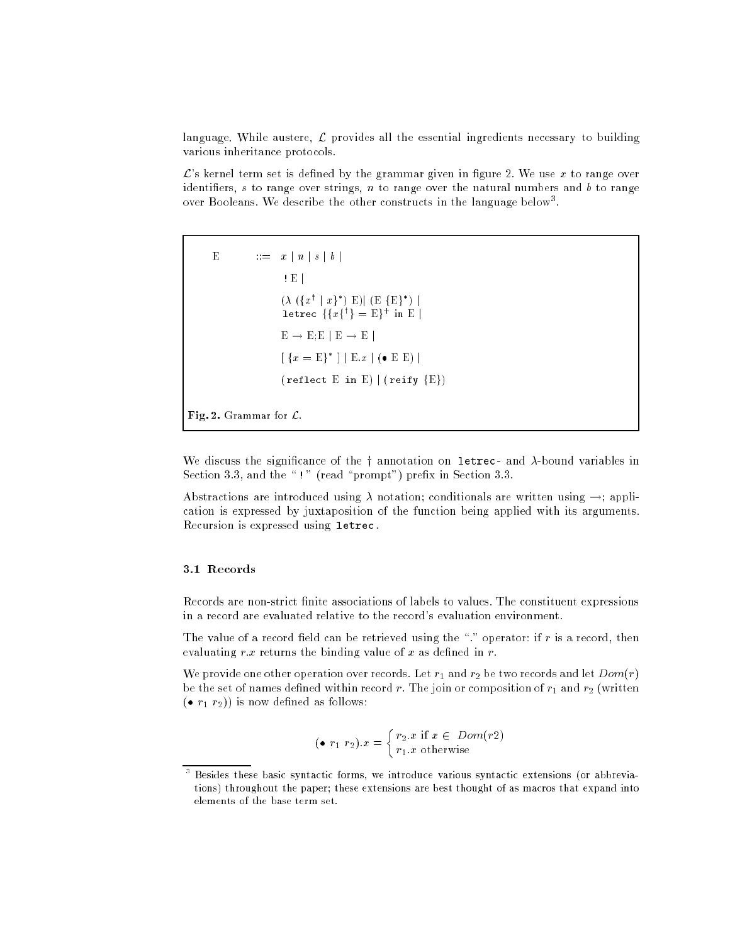language. While austere,  $\mathcal{L}$  provides all the essential ingredients necessary to building various inheritance protocols.

 $\mathcal{L}$ 's kernel term set is defined by the grammar given in figure 2. We use x to range over identifiers,  $s$  to range over strings,  $n$  to range over the natural numbers and  $b$  to range over Booleans. We describe the other constructs in the language below".

E  $::= x | n | s | b |$  $\cdot$   $\cdot$   $\cdot$   $\cdot$  $(\lambda (\{x^+ \mid x^+\}\) E)$   $(E \{E\}^*)$  $\texttt{letrec} \{ \{x\} \} = \mathbb{E} \}^\perp \text{ in } \mathbb{E}^\perp$  $E \rightarrow E; E \mid E \rightarrow E \mid$  $\exists x := \bot \}$  ii $\bot x \cup \bullet \bot \bot$ ( reflect E in E)  $|$  ( reify  ${E}$ )

We discuss the significance of the  $\dagger$  annotation on letrec- and  $\lambda$ -bound variables in Section 3.3, and the "!" (read "prompt") prefix in Section 3.3.

Abstractions are introduced using  $\lambda$  notation; conditionals are written using  $\rightarrow$ ; application is expressed by juxtaposition of the function being applied with its arguments. Recursion is expressed using letrec .

### 3.1 Records

Fig. 2. Grammar for L.

Records are non-strict finite associations of labels to values. The constituent expressions in a record are evaluated relative to the record's evaluation environment.

The value of a record field can be retrieved using the "." operator: if r is a record, then evaluating  $r.x$  returns the binding value of x as defined in  $r.$ 

We provide one other operation over records. Let  $r_1$  and  $r_2$  be two records and let  $Dom(r)$ be the set of names defined within record r. The join or composition of  $r_1$  and  $r_2$  (written  $\left(\bullet\ r_1\ r_2\right)$ ) is now defined as follows:

$$
(\bullet \ r_1 \ r_2).x = \begin{cases} r_2.x \text{ if } x \in \text{Dom}(r2) \\ r_1.x \text{ otherwise} \end{cases}
$$

Besides these basic syntactic forms, we introduce various syntactic extensions (or abbreviations) throughout the paper; these extensions are best thought of as macros that expand into elements of the base term set.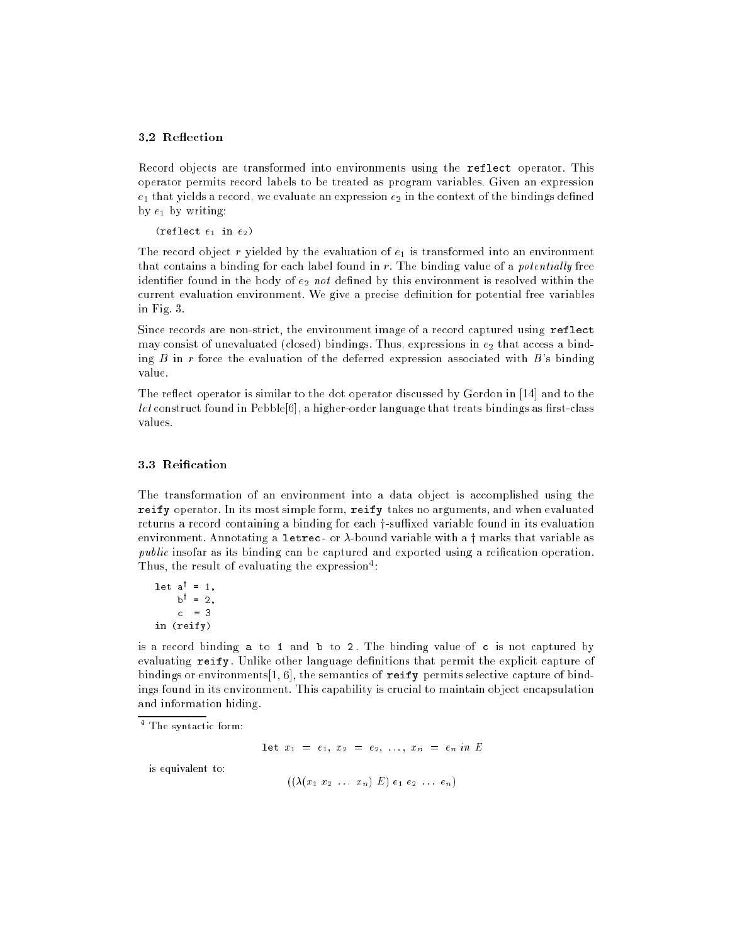Record objects are transformed into environments using the reflect operator. This operator permits record labels to be treated as program variables. Given an expression  $e_1$  that yields a record, we evaluate an expression  $e_2$  in the context of the bindings defined by  $e_1$  by writing:

(reflect  $e_1$  in  $e_2$ )

The record object r yielded by the evaluation of  $e_1$  is transformed into an environment that contains a binding for each label found in  $r$ . The binding value of a *potentially* free identifier found in the body of  $e_2$  not defined by this environment is resolved within the current evaluation environment. We give a precise definition for potential free variables in Fig. 3.

Since records are non-strict, the environment image of a record captured using reflect may consist of unevaluated (closed) bindings. Thus, expressions in  $e_2$  that access a binding B in r force the evaluation of the deferred expression associated with B's binding value.

The reflect operator is similar to the dot operator discussed by Gordon in [14] and to the let construct found in Pebble[6], a higher-order language that treats bindings as rst-class values.

The transformation of an environment into a data object is accomplished using the reify operator. In its most simple form, reify the form, and when evaluated in arguments, and when evaluated i returns a record containing a binding for each  $\dagger$ -suffixed variable found in its evaluation environment. Annotating a letrec- or  $\lambda$ -bound variable with a  $\dagger$  marks that variable as public insofar as its binding can be captured and exported using a reication operation. I nus, the result of evaluating the expression :

```
1et a' = 1,
    p = 2,\ldots (reiffy)
```
is a record binding <sup>a</sup> to <sup>1</sup> and <sup>b</sup> to <sup>2</sup> . The binding value of <sup>c</sup> is not captured by evaluating reify. Unlike other language definitions that permit the explicit capture of bindings or environments[1, 6], the semantics of reify permits selective capture of bindings found in its environment. This capability is crucial to maintain object encapsulation and information hiding.

```
let x_1 = e_1, x_2 = e_2, \ldots, x_n = e_n in E
```
is equivalent to:

 $((\lambda(x_1 x_2 \ldots x_n) E) e_1 e_2 \ldots e_n)$ 

 $^{\circ}$  The syntactic form: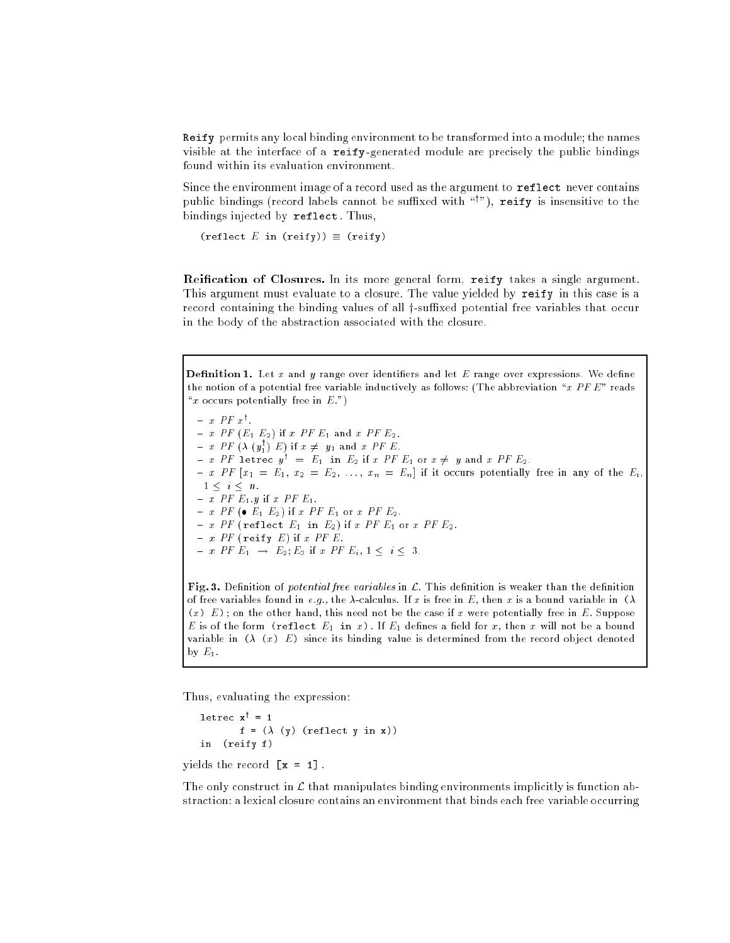Reify permits any local binding environment to be transformed into a module; the names visible at the interface of a reify -generated module are precisely the public bindings found within its evaluation environment.

Since the environment image of a record used as the argument to reflect never contains public bindings (record labels cannot be suffixed with  $\rightarrow$  ), reify is insensitive to the bindings injected by reflect . Thus,

(reflect E in (reify))  $\equiv$  (reify)

Reication of Closures. In its more general form, reify takes a single argument. This argument must evaluate to a closure. The value yielded by reify in this case is a record containing the binding values of all  $\dagger$ -suffixed potential free variables that occur in the body of the abstraction associated with the closure.

**Definition 1.** Let x and y range over identifiers and let E range over expressions. We define the notion of a potential free variable inductively as follows: (The abbreviation  $\mathscr X$  PF E" reads "x occurs potentially free in  $E$ .")

 $- x$   $\mu x$  $-x$  PF  $(E_1 E_2)$  if x PF  $E_1$  and x PF  $E_2$ .  $- x \, PF\left(\lambda\left(y_1^+\right) E\right)$  if  $x \neq y_1$  and  $x \, PF\, E$ . - x PF letrec  $y^{\dagger}$  =  $E_1$  in  $E_2$  if x PF  $E_1$  or  $x \neq y$  and x PF  $E_2$ . { <sup>x</sup> PF [x1 <sup>=</sup> E1 , x2 <sup>=</sup> E2 , : : : , xn <sup>=</sup> En] if it occurs potentially free in any of the Ei ,  $1 \leq i \leq n$ .  $- x$  PF  $E_1,y$  if x PF  $E_1$ .  $-x$  PF ( $\bullet$   $E_1$   $E_2$ ) if x PF  $E_1$  or x PF  $E_2$ .  $= x$  PF (reflect  $E_1$  in  $E_2$ ) if x PF  $E_1$  or x PF  $E_2$ .  $- x PF$  (reify E) if  $x PFE$ .  $- x \, PF \, E_1 \rightarrow E_2; E_3 \text{ if } x \, PF \, E_i, 1 \leq i \leq 3.$ Fig. 3. Denition of potential free variables in L. This denition is weaker than the denition of free variables found in e.g., the  $\lambda$ -calculus. If x is free in E, then x is a bound variable in  $(\lambda)$ 

 $(x)$  E); on the other hand, this need not be the case if x were potentially free in E. Suppose E is of the form (reflect  $E_1$  in x). If  $E_1$  defines a field for x, then x will not be a bound variable in  $(\lambda(x) E)$  since its binding value is determined from the record object denoted by  $E_1$ .

Thus, evaluating the expression:

```
letrec x' = 1
        f = (\lambda \ (y) \ (reflect y in x))in (reify f)
```
yields the record  $[x = 1]$ .

The only construct in  $\mathcal L$  that manipulates binding environments implicitly is function abstraction: a lexical closure contains an environment that binds each free variable occurring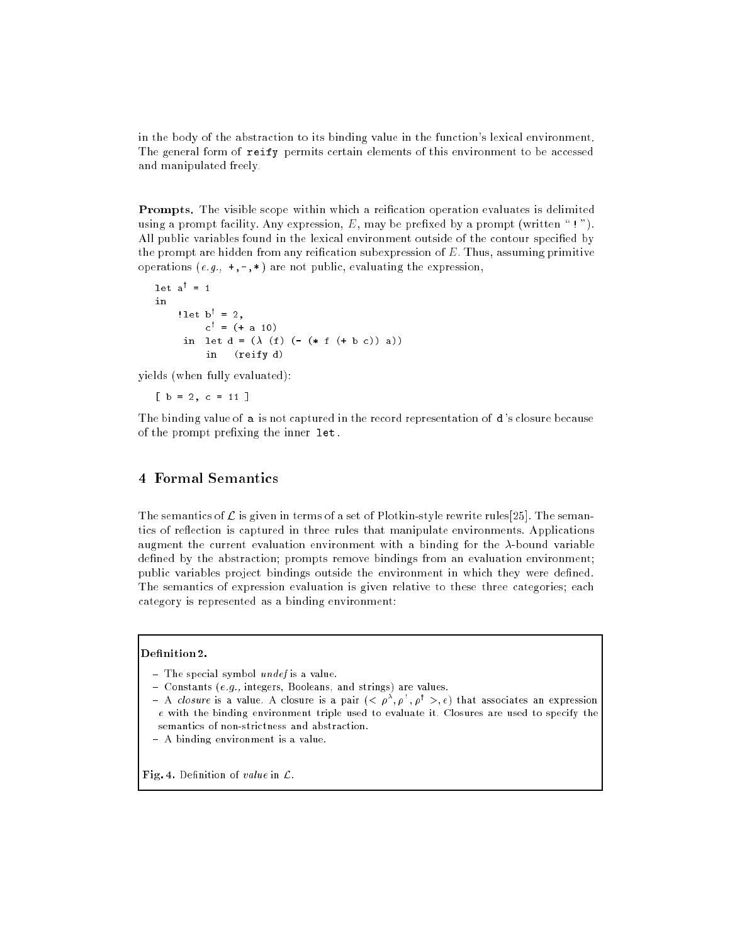in the body of the abstraction to its binding value in the function's lexical environment. The general form of reify permits certain elements of this environment to be accessed and manipulated freely.

Prompts. The visible scope within which a reication operation evaluates is delimited using a prompt facility. Any expression,  $E$ , may be prefixed by a prompt (written "!"). All public variables found in the lexical environment outside of the contour specied by the prompt are hidden from any reification subexpression of  $E$ . Thus, assuming primitive operations  $(e.g., +, -, *)$  are not public, evaluating the expression,

```
1et a' = 1
\cdotslet b' = 2,
           c
y
= (+ a 10)
      in let d = (\lambda (f) (- ( * f (+ b c)) a))\ldots (reifing \ldots
```
yields (when fully evaluated):

[ <sup>b</sup> <sup>=</sup> 2, <sup>c</sup> <sup>=</sup> <sup>11</sup> ]

The binding value of a is not captured in the record representation of d's closure because of the prompt prefixing the inner let.

## **4 Formal Semantics**

The semantics of  $\mathcal L$  is given in terms of a set of Plotkin-style rewrite rules [25]. The semantics of reflection is captured in three rules that manipulate environments. Applications augment the current evaluation environment with a binding for the  $\lambda$ -bound variable defined by the abstraction; prompts remove bindings from an evaluation environment; public variables project bindings outside the environment in which they were defined. The semantics of expression evaluation is given relative to these three categories; each category is represented as a binding environment:

### Definition 2.

- $-$  The special symbol undef is a value.
- $=$  Constants (e.g., integers, Booleans, and strings) are values.
- $=$  A *closure* is a value. A closure is a pair  $(<\rho^{\,\alpha},\rho^{\,\alpha},\rho^{\,\alpha}>,\epsilon)$  that associates an expression e with the binding environment triple used to evaluate it. Closures are used to specify the semantics of non-strictness and abstraction.
- $-$  A binding environment is a value.

Fig. 4. Denition of value in L.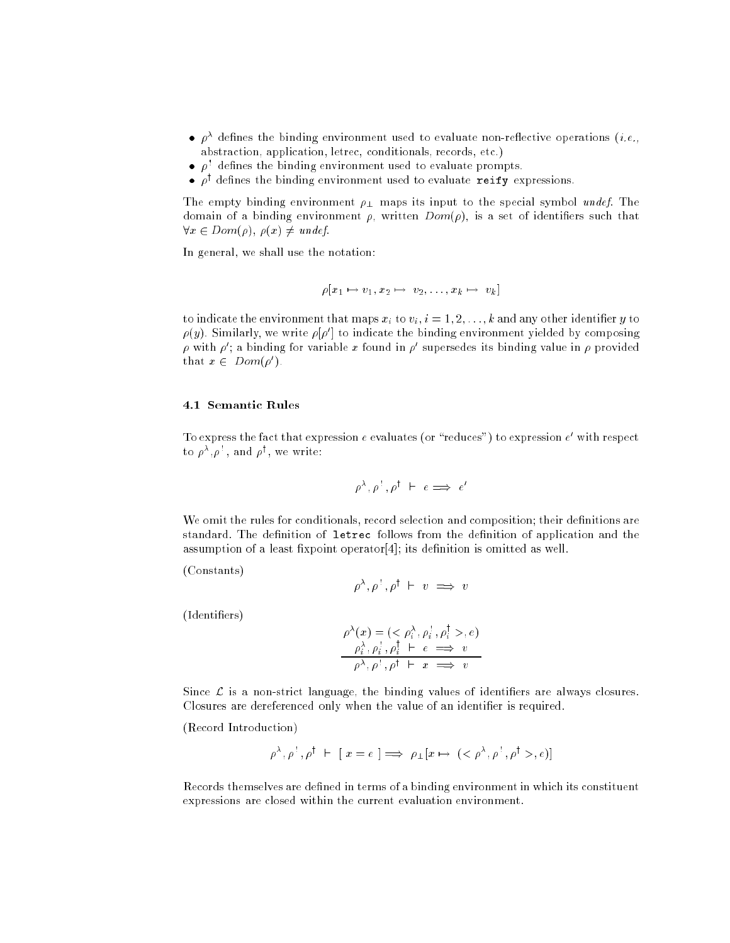- $\bullet$   $\rho^{\alpha}$  defines the binding environment used to evaluate non-reflective operations (*i.e.,* abstraction, application, letrec, conditionals, records, etc.)
- $\bullet$   $\rho^{\scriptscriptstyle +}$  defines the binding environment used to evaluate prompts.
- $\bullet$   $\rho$  defines the binding environment used to evaluate reify expressions.

The empty binding environment  $\rho_{\perp}$  maps its input to the special symbol undef. The domain of a binding environment  $\rho$ , written  $Dom(\rho)$ , is a set of identifiers such that  $\forall x \in Dom(\rho), \rho(x) \neq undef.$ 

In general, we shall use the notation:

$$
\rho[x_1 \mapsto v_1, x_2 \mapsto v_2, \ldots, x_k \mapsto v_k]
$$

to indicate the environment that maps  $x_i$  to  $v_i$ ,  $i = 1, 2, \ldots, k$  and any other identifier y to  $\rho(y)$ . Similarly, we write  $\rho|\rho|$  to indicate the binding environment yielded by composing  $\rho$  with  $\rho$  ; a binding for variable  $x$  found in  $\rho$  -supersedes its binding value in  $\rho$  provided that  $x \in Dom(\rho')$ .

To express the fact that expression  $e$  evaluates (or "reduces") to expression  $e^{\epsilon}$  with respect to  $\rho^{\ldots}, \rho^{\ldots}$  , and  $\rho^{\ldots}$  , we write:

$$
\rho^{\lambda}, \rho^{\dagger}, \rho^{\dagger} \ \vdash \ e \Longrightarrow \ e'
$$

We omit the rules for conditionals, record selection and composition; their definitions are standard. The definition of letrec follows from the definition of application and the assumption of a least fixpoint operator $[4]$ ; its definition is omitted as well.

(Constants)

$$
\rho^\lambda, \rho^+, \rho^\dagger \ \vdash \ v \implies v
$$

(Identiers)

$$
\rho^{\lambda}(x) = (\langle \rho_i^{\lambda}, \rho_i^{\dagger}, \rho_i^{\dagger} \rangle, e)
$$
  

$$
\rho_i^{\lambda}, \rho_i^{\dagger}, \rho_i^{\dagger} \vdash e \implies v
$$
  

$$
\rho^{\lambda}, \rho^{\dagger}, \rho^{\dagger} \vdash x \implies v
$$

Since  $\mathcal L$  is a non-strict language, the binding values of identifiers are always closures. Closures are dereferenced only when the value of an identifier is required.

(Record Introduction)

$$
\rho^{\lambda}, \rho^{\perp}, \rho^{\dagger} \vdash [x = e] \Longrightarrow \rho_{\perp}[x \mapsto (\langle \rho^{\lambda}, \rho^{\perp}, \rho^{\dagger} \rangle, e)]
$$

Records themselves are defined in terms of a binding environment in which its constituent expressions are closed within the current evaluation environment.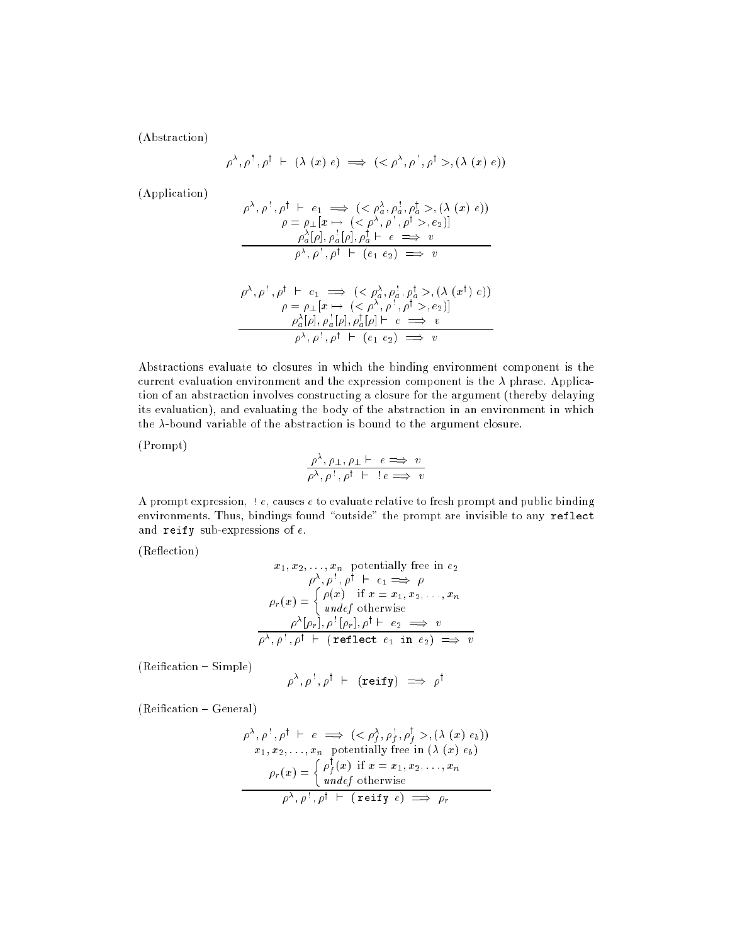(Abstraction)

$$
\rho^{\lambda}, \rho^{\perp}, \rho^{\dagger} \vdash (\lambda(x) e) \implies (\langle \rho^{\lambda}, \rho^{\perp}, \rho^{\dagger} \rangle, (\lambda(x) e))
$$

(Application)

$$
\rho^{\lambda}, \rho^{\perp}, \rho^{\dagger} \vdash e_1 \implies (\langle \rho^{\lambda}_{\alpha}, \rho^{\perp}_{\alpha}, \rho^{\dagger}_{\alpha} \rangle, (\lambda(x) e))
$$
  
\n
$$
\rho = \rho_{\perp}[x \mapsto (\langle \rho^{\lambda}, \rho^{\perp}, \rho^{\dagger} \rangle, e_2)]
$$
  
\n
$$
\rho^{\lambda}_{\alpha}[\rho], \rho^{\perp}_{\alpha}[\rho], \rho^{\dagger}_{\alpha} \vdash e \implies v
$$
  
\n
$$
\rho^{\lambda}, \rho^{\perp}, \rho^{\dagger} \vdash (e_1 e_2) \implies v
$$

$$
\rho^{\lambda}, \rho^{\perp}, \rho^{\dagger} \ \vdash \ e_1 \implies (\langle \rho^{\lambda}_{a}, \rho^{\perp}_{a}, \rho^{\dagger}_{a} \rangle, (\lambda \ (x^{\dagger}) \ e))
$$
\n
$$
\rho = \rho_{\perp} [x \mapsto (\langle \rho^{\lambda}, \rho^{\perp}, \rho^{\dagger} \rangle, e_2)]
$$
\n
$$
\rho^{\lambda}_{a} [\rho], \rho^{\perp}_{a} [\rho], \rho^{\dagger}_{a} [\rho] \vdash e \implies v
$$
\n
$$
\rho^{\lambda}, \rho^{\perp}, \rho^{\dagger} \ \vdash \ (e_1 \ e_2) \implies v
$$

Abstractions evaluate to closures in which the binding environment component is the current evaluation environment and the expression component is the  $\lambda$  phrase. Application of an abstraction involves constructing a closure for the argument (thereby delaying its evaluation), and evaluating the body of the abstraction in an environment in which the  $\lambda$ -bound variable of the abstraction is bound to the argument closure.

(Prompt)

$$
\frac{\rho^{\lambda}, \rho_{\perp}, \rho_{\perp} \vdash e \Longrightarrow v}{\rho^{\lambda}, \rho^{\perp}, \rho^{\dagger} \vdash \bot e \Longrightarrow v}
$$

A prompt expression,  $!e$ , causes  $e$  to evaluate relative to fresh prompt and public binding environments. Thus, bindings found "outside" the prompt are invisible to any reflect and reify sub-expressions of  $e$ .

(Reflection)

$$
x_1, x_2, \dots, x_n \text{ potentially free in } e_2
$$
\n
$$
\rho^{\lambda}, \rho^{\dagger}, \rho^{\dagger} \vdash e_1 \Longrightarrow \rho
$$
\n
$$
\rho_r(x) = \begin{cases} \rho(x) & \text{if } x = x_1, x_2, \dots, x_n \\ \text{under } \text{otherwise} \end{cases}
$$
\n
$$
\rho^{\lambda}[\rho_r], \rho^{\dagger}[\rho_r], \rho^{\dagger} \vdash e_2 \Longrightarrow v
$$
\n
$$
\rho^{\lambda}, \rho^{\dagger}, \rho^{\dagger} \vdash (\text{reflect } e_1 \text{ in } e_2) \Longrightarrow v
$$

 $(Reification - Simple)$ 

$$
\rho^\lambda, \rho^!, \rho^\dagger \;\vdash\; (\mathtt{reify}) \;\Longrightarrow\; \rho^\dagger
$$

(Reification - General)

$$
\rho^{\lambda}, \rho^{!}, \rho^{\dagger} \vdash e \implies (\langle \rho_f^{\lambda}, \rho_f^{!}, \rho_f^{\dagger} \rangle, (\lambda(x) e_b))
$$
  

$$
x_1, x_2, \dots, x_n \text{ potentially free in } (\lambda(x) e_b)
$$
  

$$
\rho_r(x) = \begin{cases} \rho_f^{\dagger}(x) & \text{if } x = x_1, x_2, \dots, x_n \\ \text{under otherwise} \end{cases}
$$
  

$$
\rho^{\lambda}, \rho^{!}, \rho^{\dagger} \vdash (\text{reify } e) \implies \rho_r
$$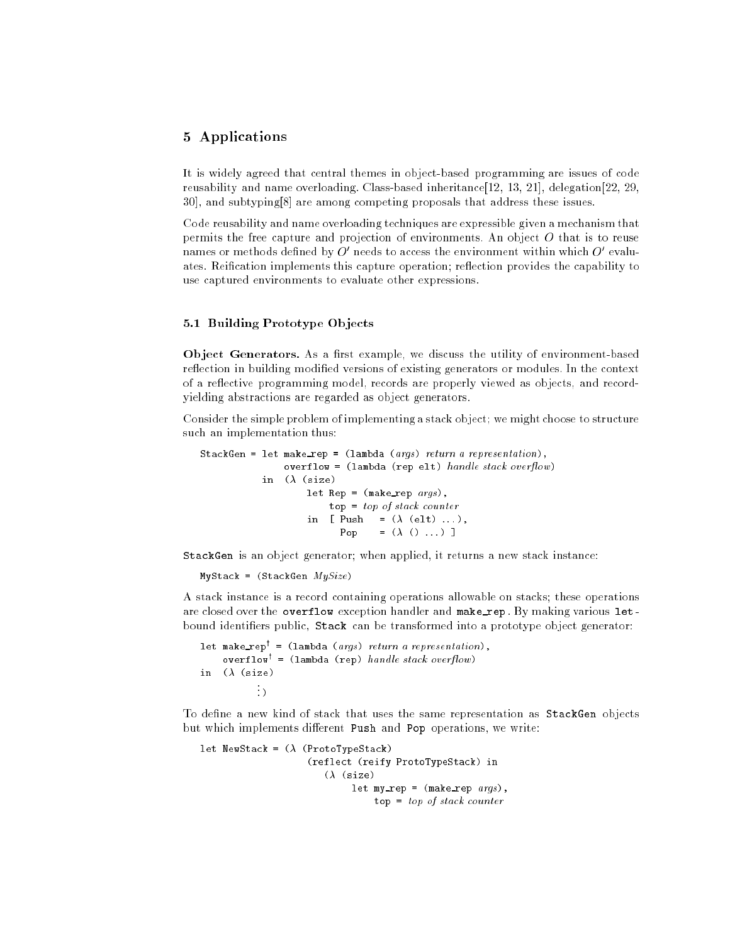## 5 Applications

It is widely agreed that central themes in object-based programming are issues of code reusability and name overloading. Class-based inheritance[12, 13, 21], delegation[22, 29, 30], and subtyping[8] are among competing proposals that address these issues.

Code reusability and name overloading techniques are expressible given a mechanism that permits the free capture and projection of environments. An object  $O$  that is to reuse names or methods defined by O' needs to access the environment within which O' evaluates. Reification implements this capture operation; reflection provides the capability to use captured environments to evaluate other expressions.

### 5.1 Building Prototype Ob jects

Ob ject Generators. As a rst example, we discuss the utility of environment-based reflection in building modified versions of existing generators or modules. In the context of a reflective programming model, records are properly viewed as objects, and recordyielding abstractions are regarded as object generators.

Consider the simple problem of implementing a stack object; we might choose to structure such an implementation thus:

```
StackGen = let make rep = (lambda (args) return a representation),
                  overflow the set of the set \alpha is the state over \alphain (\lambda)(size)let Rep = (make rep args),
                            top = top of stack counter
                       in [ Push = (\lambda (elt) \ldots),
                              Pop= (\lambda \quad () \quad ... ) ]
```
StackGen is an object generator; when applied, it returns a new stack instance:

MyStack <sup>=</sup> (StackGen MySize)

.)

A stack instance is a record containing operations allowable on stacks; these operations are closed over the overflow exception handler and make rep. By making various letbound identifiers public, **Stack** can be transformed into a prototype object generator:

```
let make_rep' = (lambda (args) return a representation),
    overflow' = (lambda (rep) handle stack overflow)
in (\lambda \text{ (size)}.
.
```
To define a new kind of stack that uses the same representation as StackGen objects but which implements different Push and Pop operations, we write:

```
let NewStack = (\lambda (ProtoTypeStack)
                     (reflect (reify ProtoTypeStack) in
                         (\lambda)(size)let my rep = (make rep args),
                                   top = top of stack counter
```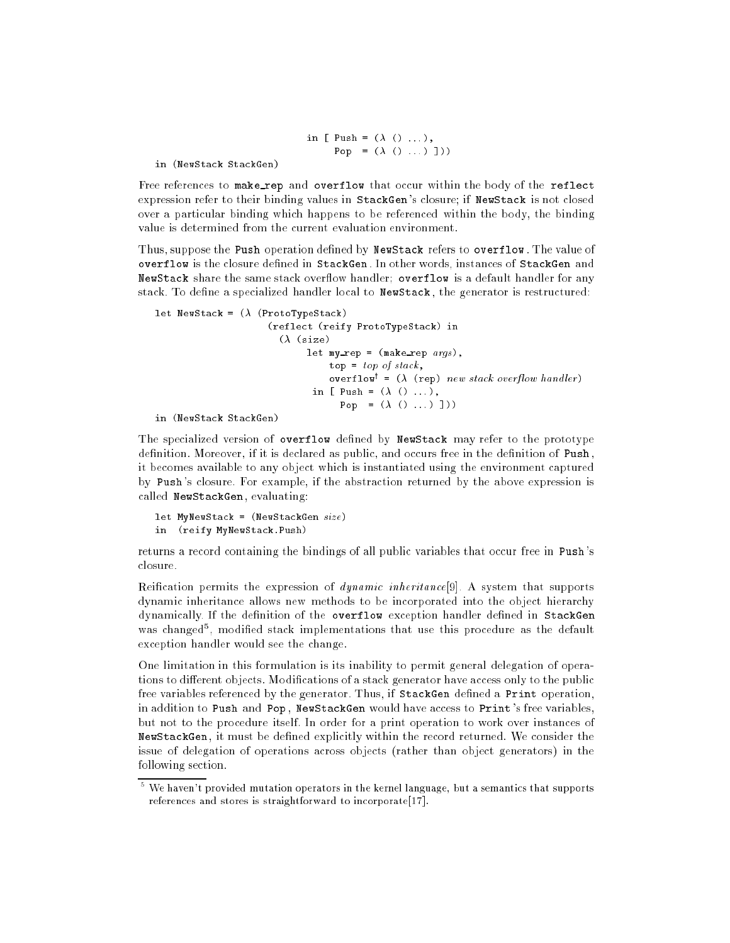in [ Push =  $(\lambda \) \ldots)$ , Pop =  $(\lambda \space ( \space ) \space ... \space ) \space 1))$ 

in (NewStack StackGen)

Free references to make rep and overflow that occur within the body of the reflect expression refer to their binding values in StackGen 's closure; if NewStack is not closed over a particular binding which happens to be referenced within the body, the binding value is determined from the current evaluation environment.

Thus, suppose the Push operation defined by NewStack refers to overflow. The value of overflow is the closure density in StackGen . In other words, instances of StackGen and StackGen own the stack the same state overflow is a default of the state of any default handler for any stack. To define a specialized handler local to NewStack, the generator is restructured:

```
let NewStack = (\lambda (ProtoTypeStack)
                          (reflect (reify ProtoTypeStack) in
                            (\lambda)(size)let my rep = (make rep args),
                                        top = top of stack,
                                        overflow<sup>t</sup> = (\lambda (rep) new stack overflow handler)
                                    in [ Push = (\lambda \) \ldots),
                                           Pop = (\lambda \cdot ( ) \dots ) ]))
```

```
in (NewStack StackGen)
```
The specialized version of overflow defined by NewStack may refer to the prototype definition. Moreover, if it is declared as public, and occurs free in the definition of Push, it becomes available to any object which is instantiated using the environment captured by Push 's closure. For example, if the abstraction returned by the above expression is called NewStackGen , evaluating:

```
let MyNewStack = (NewStackGen size)
in (reify MyNewStack.Push)
```
returns a record containing the bindings of all public variables that occur free in Push 's closure.

Reification permits the expression of *dynamic inheritance* [9]. A system that supports dynamic inheritance allows new methods to be incorporated into the object hierarchy dynamically. If the definition of the overflow exception handler defined in StackGen was changed", modified stack implementations that use this procedure as the default exception handler would see the change.

One limitation in this formulation is its inability to permit general delegation of operations to different objects. Modifications of a stack generator have access only to the public free variables referenced by the generator. Thus, if StackGen defined a Print operation, in addition to Push and Pop, NewStackGen would have access to Print's free variables, but not to the procedure itself. In order for a print operation to work over instances of News telestical it must be demitted the record within the record recording to complete the resolution of issue of delegation of operations across objects (rather than object generators) in the following section.

 $^{\circ}$  We haven't provided mutation operators in the kernel language, but a semantics that supports references and stores is straightforward to incorporate[17 ].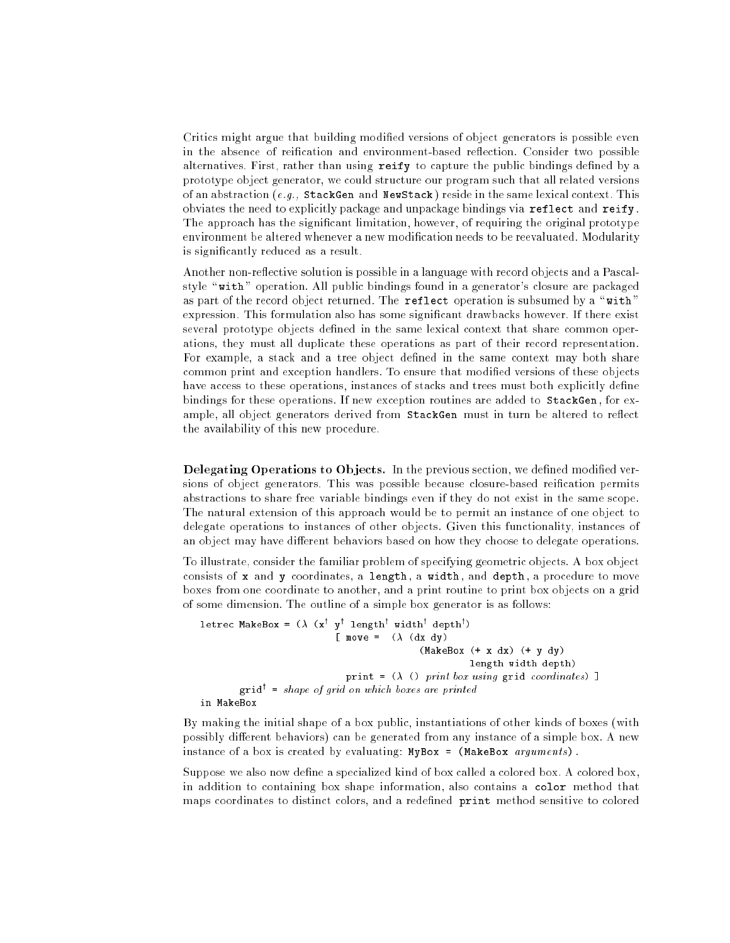Critics might argue that building modified versions of object generators is possible even in the absence of reification and environment-based reflection. Consider two possible alternatives. First, rather than using  $\text{reify}$  to capture the public bindings defined by a prototype object generator, we could structure our program such that all related versions of an abstraction (e.g., StackGen and NewStack) reside in the same lexical context. This obviates the need to explicitly package and unpackage bindings via reflect and reify . The approach has the significant limitation, however, of requiring the original prototype environment be altered whenever a new modication needs to be reevaluated. Modularity is signicantly reduced as a result.

Another non-reflective solution is possible in a language with record objects and a Pascalstyle "with" operation. All public bindings found in a generator's closure are packaged as part of the record object returned. The reflect operation is subsumed by a "with" expression. This formulation also has some significant drawbacks however. If there exist several prototype objects defined in the same lexical context that share common operations, they must all duplicate these operations as part of their record representation. For example, a stack and a tree object defined in the same context may both share common print and exception handlers. To ensure that modified versions of these objects have access to these operations, instances of stacks and trees must both explicitly define bindings for these operations. If new exception routines are added to StackGen , for example, all object generators derived from StackGen must in turn be altered to reflect the availability of this new procedure.

Delegating Operations to Ob jects. In the previous section, we dened modied versions of object generators. This was possible because closure-based reication permits abstractions to share free variable bindings even if they do not exist in the same scope. The natural extension of this approach would be to permit an instance of one object to delegate operations to instances of other objects. Given this functionality, instances of an object may have different behaviors based on how they choose to delegate operations.

To illustrate, consider the familiar problem of specifying geometric objects. A box object consists of <sup>x</sup> and <sup>y</sup> coordinates, a length , a width , and depth , a procedure to move boxes from one coordinate to another, and a print routine to print box objects on a grid of some dimension. The outline of a simple box generator is as follows:

```
letrec MakeBox = (\lambda (x<sup>1</sup> y<sup>1</sup> length<sup>1</sup> width<sup>1</sup> depth<sup>1</sup>)
                                   [ move = (\lambda \text{ (dx dy)})(MakeBox (+ x dx) (+ y dy)
                                                                      length width depth)
                                      print = (\lambda \) print box using grid coordinates) ]
          gridy
= shape of grid on which boxes are printed
```
By making the initial shape of a box public, instantiations of other kinds of boxes (with possibly different behaviors) can be generated from any instance of a simple box. A new instance of a box is created by evaluating:  $MyBox = (MakeBox arguments)$ .

Suppose we also now define a specialized kind of box called a colored box. A colored box, in addition to containing box shape information, also contains a color method that maps coordinates to distinct colors, and a redened print method sensitive to colored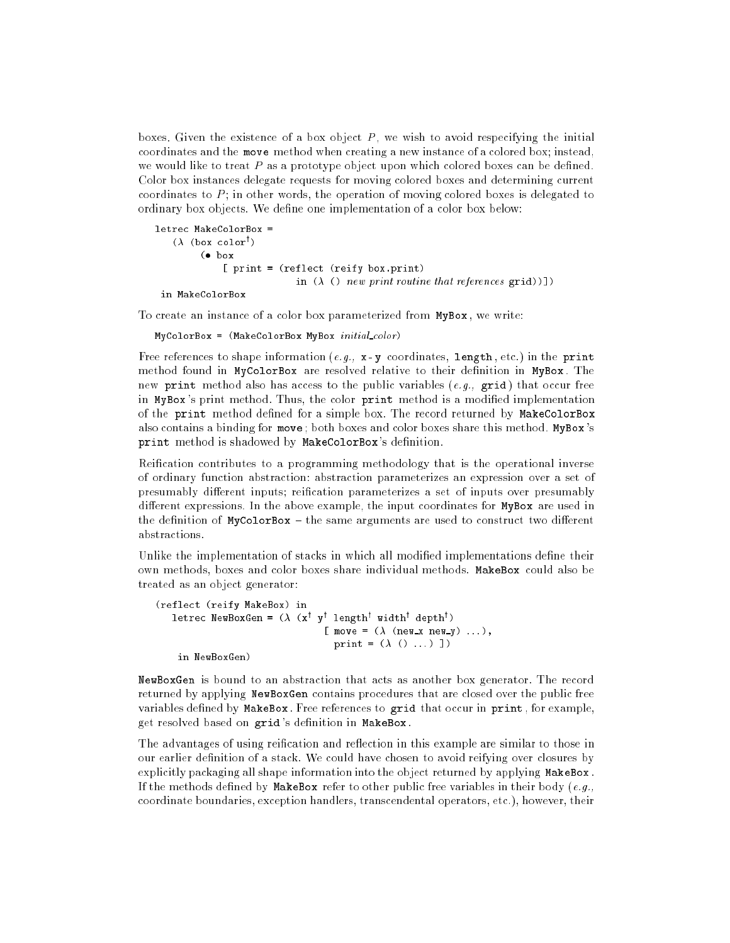boxes. Given the existence of a box object  $P$ , we wish to avoid respecifying the initial coordinates and the move method when creating a new instance of a colored box; instead, we would like to treat  $P$  as a prototype object upon which colored boxes can be defined. Color box instances delegate requests for moving colored boxes and determining current coordinates to  $P$ ; in other words, the operation of moving colored boxes is delegated to ordinary box objects. We define one implementation of a color box below:

```
(\lambda \text{ (box color)}(e \text{ hav})\sim\mathbf{p} prints are \mathbf{p} and \mathbf{p} are \mathbf{p} box. \mathbf{p}in (\lambda) ( ) new print routine that references grid))])
in MakeColorBox
```
To create an instance of a color box parameterized from MyBox , we write:

my color = = (make color move in initial color)

Free references to shape information (e.g.,  $x - y$  coordinates, length, etc.) in the print method found in MyColorBox are resolved relative to their definition in MyBox. The new print method also has access to the public variables (e.g., grid) that occur free in  $MyBox$  's print method. Thus, the color  $print$  method is a modified implementation of the print method defined for a simple box. The record returned by MakeColorBox also contains a binding for move ; both boxes and color boxes share this method. MyBox 's print method is shadowed by MakeColorBox 's denition.

Reication contributes to a programming methodology that is the operational inverse of ordinary function abstraction: abstraction parameterizes an expression over a set of presumably different inputs; reification parameterizes a set of inputs over presumably different expressions. In the above example, the input coordinates for MyBox are used in the definition of MyColorBox  $-$  the same arguments are used to construct two different abstractions.

Unlike the implementation of stacks in which all modified implementations define their own methods, boxes and color boxes share individual methods. MakeBox could also be treated as an object generator:

```
(reflect (reify MakeBox) in
    \texttt{letrec} NewBoxGen = (\lambda (x' y' \texttt{length}^+ width' depth')
                                            \lceil \mod = (\lambda \mod x \mod y) \ldots \rceil,print = (\lambda \cdot ( ) \dots ) ])
     in NewBoxGen)
```
NewBoxGen is bound to an abstraction that acts as another box generator. The record returned by applying NewBoxGen contains procedures that are closed over the public free variables defined by MakeBox. Free references to grid that occur in print, for example, get resolved based on grid's definition in MakeBox.

The advantages of using reification and reflection in this example are similar to those in our earlier definition of a stack. We could have chosen to avoid reifying over closures by explicitly packaging all shape information into the object returned by applying MakeBox. If the methods defined by MakeBox refer to other public free variables in their body (e.g., coordinate boundaries, exception handlers, transcendental operators, etc.), however, their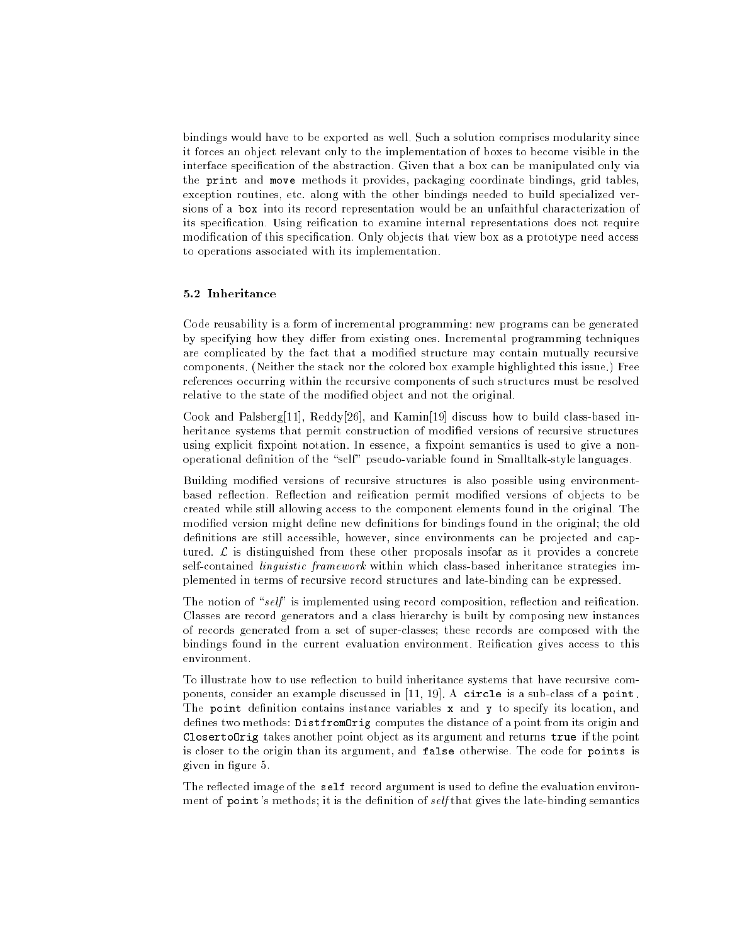bindings would have to be exported as well. Such a solution comprises modularity since it forces an object relevant only to the implementation of boxes to become visible in the interface specication of the abstraction. Given that a box can be manipulated only via the print and move methods it provides, packaging coordinate bindings, grid tables, exception routines, etc. along with the other bindings needed to build specialized versions of a box into its record representation would be an unfaithful characterization of its specication. Using reication to examine internal representations does not require modication of this specication. Only objects that view box as a prototype need access to operations associated with its implementation.

Code reusability is a form of incremental programming: new programs can be generated by specifying how they differ from existing ones. Incremental programming techniques are complicated by the fact that a modied structure may contain mutually recursive components. (Neither the stack nor the colored box example highlighted this issue.) Free references occurring within the recursive components of such structures must be resolved relative to the state of the modified object and not the original.

Cook and Palsberg[11], Reddy[26], and Kamin[19] discuss how to build class-based inheritance systems that permit construction of modified versions of recursive structures using explicit fixpoint notation. In essence, a fixpoint semantics is used to give a nonoperational definition of the "self" pseudo-variable found in Smalltalk-style languages.

Building modified versions of recursive structures is also possible using environmentbased reflection. Reflection and reification permit modified versions of objects to be created while still allowing access to the component elements found in the original. The modified version might define new definitions for bindings found in the original; the old definitions are still accessible, however, since environments can be projected and captured.  $\mathcal L$  is distinguished from these other proposals insofar as it provides a concrete self-contained *linguistic framework* within which class-based inheritance strategies implemented in terms of recursive record structures and late-binding can be expressed.

The notion of " $self$ " is implemented using record composition, reflection and reification. Classes are record generators and a class hierarchy is built by composing new instances of records generated from a set of super-classes; these records are composed with the bindings found in the current evaluation environment. Reication gives access to this environment

To illustrate how to use reflection to build inheritance systems that have recursive components, consider an example discussed in [11, 19]. A circle is a sub-class of a point . The point definition contains instance variables  $x$  and  $y$  to specify its location, and defines two methods: DistfromOrig computes the distance of a point from its origin and ClosertoOrig takes another point object as its argument and returns true if the point is closer to the origin than its argument, and false otherwise. The code for points is given in gure 5.

The reflected image of the self record argument is used to define the evaluation environment of point's methods; it is the definition of self that gives the late-binding semantics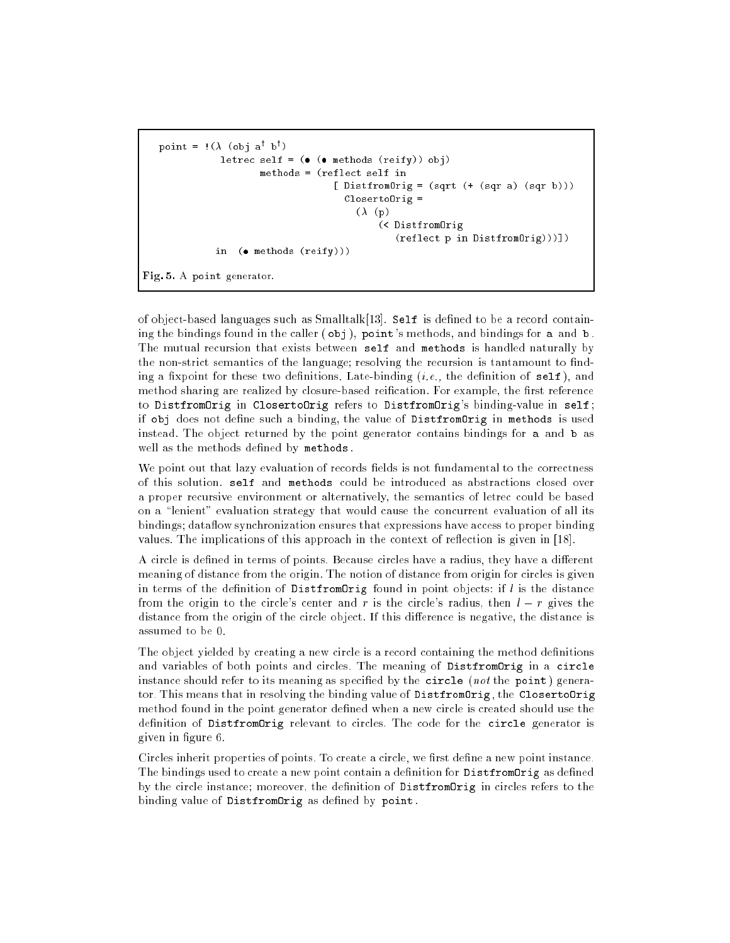```
point = !(\lambda \text{ (obj a}^{\dagger} b^{\dagger}))letrec self = ( ( methods (reify)) obj)
                                              methods = (reflect self in
                                                                          \mathbf{C} distribution of \mathbf{C} (square \mathbf{C})) (square b))))
                                                                               ClosertoOrig =
                                                                                   (\lambda)(p)\sim 0.000 \sim 0.000 \sim 0.000 \sim 0.000 \sim 0.000 \sim 0.000 \sim 0.000 \sim 0.000 \sim 0.000 \sim 0.000 \sim 0.000 \sim 0.000 \sim 0.000 \sim 0.000 \sim 0.000 \sim 0.000 \sim 0.000 \sim 0.000 \sim 0.000 \sim 0.000 (reflect p in DistfromOrig)))])
                            \ldots ( \ldots and \ldots \ldots ) \ldotsFig. 5. A point generator.
```
of object-based languages such as Smalltalk[13]. Self is dened to be a record containing the bindings found in the caller ( obj ), point 's methods, and bindings for <sup>a</sup> and <sup>b</sup> . The mutual recursion that exists between self and methods is handled naturally by the non-strict semantics of the language; resolving the recursion is tantamount to finding a fixpoint for these two definitions. Late-binding (*i.e.*, the definition of self), and method sharing are realized by closure-based reification. For example, the first reference to DistfromOrig in ClosertoOrig refers to DistfromOrig 's binding-value in self ; if obj does not define such a binding, the value of DistfromOrig in methods is used instead. The object returned by the point generator contains bindings for <sup>a</sup> and <sup>b</sup> as well as the methods defined by methods.

We point out that lazy evaluation of records fields is not fundamental to the correctness of this solution. self and methods could be introduced as abstractions closed over a proper recursive environment or alternatively, the semantics of letrec could be based on a "lenient" evaluation strategy that would cause the concurrent evaluation of all its bindings; dataflow synchronization ensures that expressions have access to proper binding values. The implications of this approach in the context of reflection is given in [18].

A circle is defined in terms of points. Because circles have a radius, they have a different meaning of distance from the origin. The notion of distance from origin for circles is given in terms of the definition of  $\texttt{DistfromOrig}$  found in point objects: if l is the distance from the origin to the circle's center and r is the circle's radius, then  $l - r$  gives the distance from the origin of the circle object. If this difference is negative, the distance is assumed to be 0.

The object yielded by creating a new circle is a record containing the method definitions and variables of both points and circles. The meaning of DistfromOrig in a circle instance should refer to its meaning as specified by the circle  $(\textit{not the point})$  generator. This means that in resolving the binding value of DistfromOrig , the ClosertoOrig method found in the point generator defined when a new circle is created should use the definition of DistfromOrig relevant to circles. The code for the circle generator is given in gure 6.

Circles inherit properties of points. To create a circle, we first define a new point instance. The bindings used to create a new point contain a definition for DistfromOrig as defined by the circle instance; moreover, the definition of DistfromOrig in circles refers to the binding value of DistfromOrig as defined by point.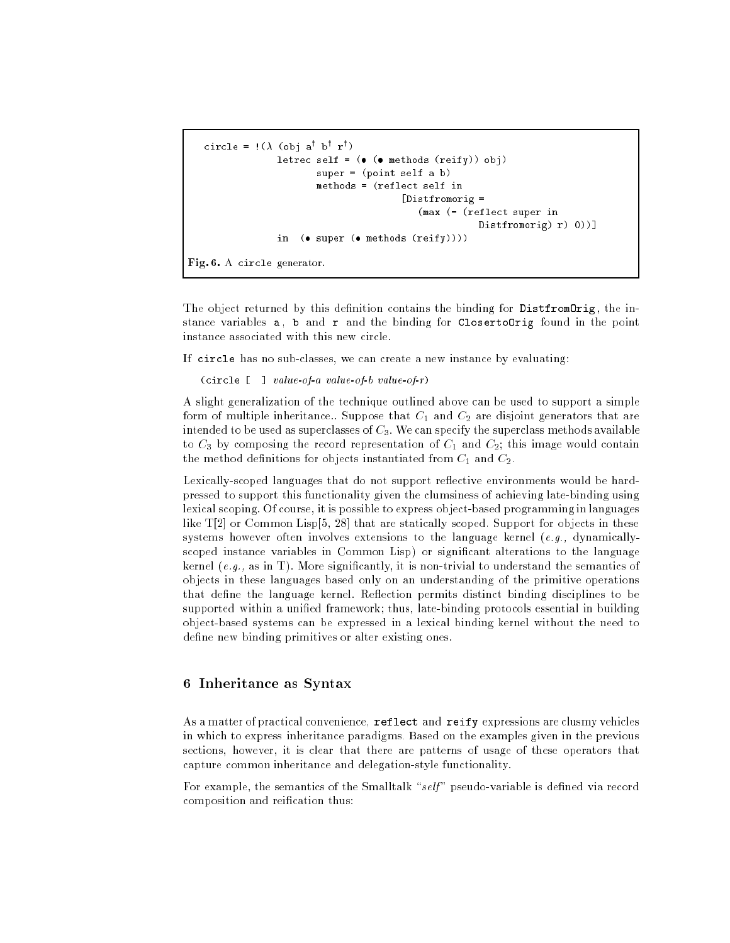```
circle = !(\lambda (obj a<sup>T</sup> b<sup>T</sup> r<sup>T</sup>)
                             letrec self = ( ( methods (reify)) obj)
                                          super \sim (point self as b)
                                          methods = (reflect self in
                                                                      \blacksquare = \blacksquare = \blacksquare = \blacksquare \blacksquare(max (- (reflect super in the flect super in the flect super in the flect super in the flect super in the flect
                                                                                                Distfromorig) r) 0))]
                             in(\bullet super (\bullet methods (reify))))
Fig. 6. A circle generator.
```
The object returned by this definition contains the binding for  $\text{DistfromOrig},$  the instance variables  $a$ , b and  $r$  and the binding for ClosertoOrig found in the point instance associated with this new circle.

If circle has no sub-classes, we can create a new instance by evaluating:

(circle [ ] value-of-a value-of-b value-of-r)

A slight generalization of the technique outlined above can be used to support a simple form of multiple inheritance.. Suppose that  $C_1$  and  $C_2$  are disjoint generators that are intended to be used as superclasses of  $C_3$ . We can specify the superclass methods available to  $C_3$  by composing the record representation of  $C_1$  and  $C_2$ ; this image would contain the method definitions for objects instantiated from  $C_1$  and  $C_2$ .

Lexically-scoped languages that do not support reflective environments would be hardpressed to support this functionality given the clumsiness of achieving late-binding using lexical scoping. Of course, it is possible to express object-based programming in languages like T[2] or Common Lisp[5, 28] that are statically scoped. Support for objects in these systems however often involves extensions to the language kernel  $(e, q, \text{dynamically-})$ scoped instance variables in Common Lisp) or signicant alterations to the language kernel (e.g., as in T). More significantly, it is non-trivial to understand the semantics of objects in these languages based only on an understanding of the primitive operations that define the language kernel. Reflection permits distinct binding disciplines to be supported within a unified framework; thus, late-binding protocols essential in building object-based systems can be expressed in a lexical binding kernel without the need to define new binding primitives or alter existing ones.

## 6 Inheritance as Syntax

As a matter of practical convenience, reflect and reify expressions are clusmy vehicles in which to express inheritance paradigms. Based on the examples given in the previous sections, however, it is clear that there are patterns of usage of these operators that capture common inheritance and delegation-style functionality.

For example, the semantics of the Smalltalk " $self$ " pseudo-variable is defined via record composition and reification thus: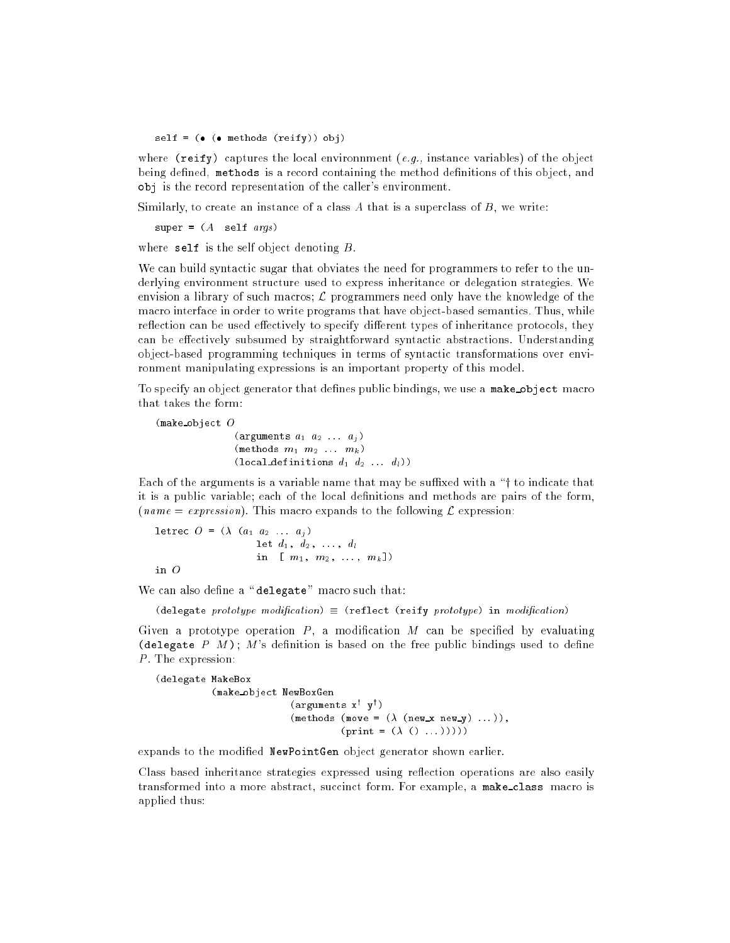self ( ( methods (selfy) obj)

where (reify) captures the local environment  $(e.g.,)$  instance variables) of the object being defined, methods is a record containing the method definitions of this object, and obj is the record representation of the caller's environment.

Similarly, to create an instance of a class  $A$  that is a superclass of  $B$ , we write:

super =  $(A \text{ self } args)$ 

where self is the self object denoting  $B$ .

We can build syntactic sugar that obviates the need for programmers to refer to the underlying environment structure used to express inheritance or delegation strategies. We envision a library of such macros;  $\mathcal L$  programmers need only have the knowledge of the macro interface in order to write programs that have object-based semantics. Thus, while reflection can be used effectively to specify different types of inheritance protocols, they can be effectively subsumed by straightforward syntactic abstractions. Understanding object-based programming techniques in terms of syntactic transformations over environment manipulating expressions is an important property of this model.

To specify an object generator that defines public bindings, we use a make-object macro that takes the form:

(make object  $O$ (arguments  $a_1$   $a_2$  :  $a_j$ ) (methods  $m_1$   $m_2$   $\ldots$   $m_k$ ) (local definitions  $d_1$   $d_2$   $\ldots$   $d_l$ ))

Each of the arguments is a variable name that may be suffixed with a  $\ddot{\tau}$  to indicate that it is a public variable; each of the local denitions and methods are pairs of the form, (*name = expression*). This macro expands to the following  $\mathcal{L}$  expression:

letrec 
$$
O = (\lambda (a_1 a_2 ... a_j))
$$
  
let  $d_1, d_2, ..., d_l$   
in  $[m_1, m_2, ..., m_k])$ 

in O

We can also define a "delegate" macro such that:

 $\mathcal{L}$  (defined and  $\mathcal{L}$  prototype modify prototype) in modify  $\mathcal{L}$  , we have a set  $\mathcal{L}$  and  $\mathcal{L}$  and  $\mathcal{L}$  and  $\mathcal{L}$  and  $\mathcal{L}$  and  $\mathcal{L}$  and  $\mathcal{L}$  and  $\mathcal{L}$  and  $\mathcal{L}$  and  $\mathcal{L}$  a

Given a prototype operation  $P$ , a modification  $M$  can be specified by evaluating (delegate  $P(M)$ ; M's definition is based on the free public bindings used to define  $P$ . The expression:

```
(delegate MakeBox
              (make object NewBoxGen
                                   (arguments x' y')
                                   (methods (move = (\lambda \text{ (new x new y)} \dots)),
                                                 (\text{print} = (\lambda \space ( \space ) \space ... )))))
```
expands to the modified NewPointGen object generator shown earlier.

Class based inheritance strategies expressed using reflection operations are also easily transformed into a more abstract, succinct form. For example, a make class macro is applied thus: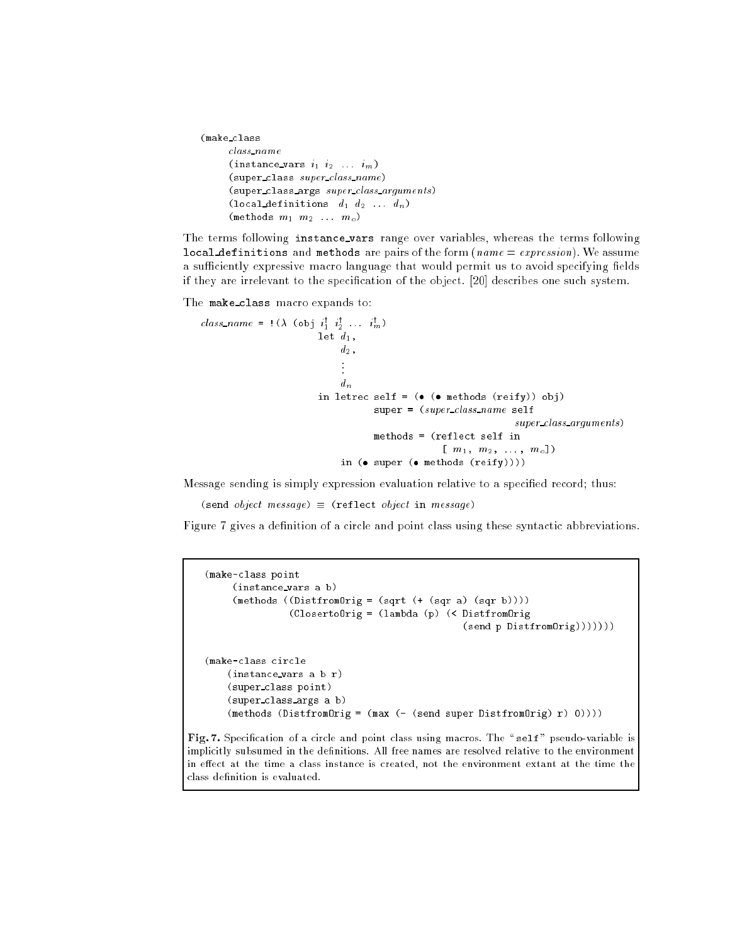```
\sim cm classes classes can classes contains to \simclass name
       (instance\text{-}vars\ i_1\ i_2\ \ldots\ i_m)(super class super class name)
       (super class args super class arguments)
       (local definitions d_1 d_2 \ldots d_n)
       (methods m_1 m_2 \ldots m_o)
```
The terms following instance vars range over variables, whereas the terms following local definitions and methods are pairs of the form (name <sup>=</sup> expression). We assume a sufficiently expressive macro language that would permit us to avoid specifying fields if they are irrelevant to the specication of the object. [20] describes one such system.

The make\_class macro expands to:

```
class_name = \frac{1}{\lambda} (\lambda \text{ (obj } i_1^{\dagger} i_2^{\dagger} \dots i_m^{\dagger})let d_1 ,
                                       d_2,
                                        ..d_nin external contracts of \mathbb{R}^n , we have the contract of \mathbb{R}^nsuper = (super class name self
                                                                                         super class arguments)
                                                 methods = (reflect self in
                                                                     [m_1, m_2, \ldots, m_n]
```
in ( super ( methods (reify))))

Message sending is simply expression evaluation relative to a specied record; thus:

 $\sim$  . The object message)  $\sim$  (reflection in message)

Figure 7 gives a definition of a circle and point class using these syntactic abbreviations.

```
\sqrt{m} and class points \frac{1}{2}(instance vars a b)
        (methods ((DistfromOrig = (sqrt (+ (sqr a) (sqr b))))
                         \sim (see Fig. ), (see Fig. ), (see Fig. ), (see Fig. ), (see Fig. ), (see Fig. ), (see Fig. ), (see Fig. ), (see Fig. ), (see Fig. ), (see Fig. ), (see Fig. ), (see Fig. ), (see Fig. ), (see Fig. ), (see Fig. ), (see Fig
                                                                               (send p DistfromOrig)))))))
\sim cases comes comes comes
      (instance vars a b r)
      \sim class class points,
      (super class args a b)
      (methods (DistfromOrig = (max (- (send super DistfromOrig) r) 0))))
```
Fig. 7. Specication of a circle and point class using macros. The \ self " pseudo-variable is implicitly subsumed in the definitions. All free names are resolved relative to the environment in effect at the time a class instance is created, not the environment extant at the time the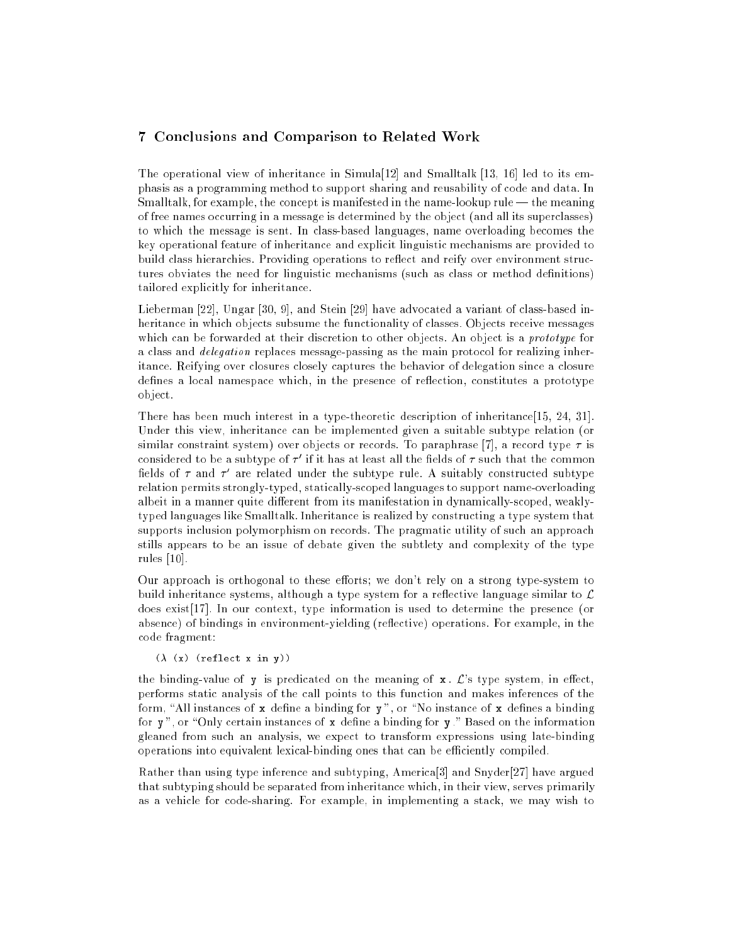## 7 Conclusions and Comparison to Related Work

The operational view of inheritance in Simula<sup>[12]</sup> and Smalltalk  $[13, 16]$  led to its emphasis as a programming method to support sharing and reusability of code and data. In Smalltalk, for example, the concept is manifested in the name-lookup rule  $-$  the meaning of free names occurring in a message is determined by the object (and all its superclasses) to which the message is sent. In class-based languages, name overloading becomes the key operational feature of inheritance and explicit linguistic mechanisms are provided to build class hierarchies. Providing operations to reflect and reify over environment structures obviates the need for linguistic mechanisms (such as class or method denitions) tailored explicitly for inheritance.

Lieberman [22], Ungar [30, 9], and Stein [29] have advocated a variant of class-based inheritance in which objects subsume the functionality of classes. Objects receive messages which can be forwarded at their discretion to other objects. An object is a *prototype* for a class and *delegation* replaces message-passing as the main protocol for realizing inheritance. Reifying over closures closely captures the behavior of delegation since a closure defines a local namespace which, in the presence of reflection, constitutes a prototype object.

There has been much interest in a type-theoretic description of inheritance[15, 24, 31]. Under this view, inheritance can be implemented given a suitable subtype relation (or similar constraint system) over objects or records. To paraphrase [7], a record type  $\tau$  is considered to be a subtype of  $\tau^{\cdot}$  if it has at least all the fields of  $\tau$  such that the common nelds of  $\tau$  and  $\tau^{\prime}$  are related under the subtype rule. A suitably constructed subtype relation permits strongly-typed, statically-scoped languages to support name-overloading albeit in a manner quite different from its manifestation in dynamically-scoped, weaklytyped languages like Smalltalk. Inheritance is realized by constructing a type system that supports inclusion polymorphism on records. The pragmatic utility of such an approach stills appears to be an issue of debate given the subtlety and complexity of the type rules [10].

Our approach is orthogonal to these efforts; we don't rely on a strong type-system to build inheritance systems, although a type system for a reflective language similar to  $\mathcal L$ does exist[17]. In our context, type information is used to determine the presence (or absence) of bindings in environment-yielding (reflective) operations. For example, in the code fragment:

 $(\lambda)(x)$  (reflect x in y))

the binding-value of y is predicated on the meaning of  $x \in \mathcal{L}$ 's type system, in effect, performs static analysis of the call points to this function and makes inferences of the form, "All instances of  $x$  define a binding for  $y$ ", or "No instance of  $x$  defines a binding for  $y''$ , or "Only certain instances of x define a binding for  $y$ ." Based on the information gleaned from such an analysis, we expect to transform expressions using late-binding operations into equivalent lexical-binding ones that can be efficiently compiled.

Rather than using type inference and subtyping, America[3] and Snyder[27] have argued that subtyping should be separated from inheritance which, in their view, serves primarily as a vehicle for code-sharing. For example, in implementing a stack, we may wish to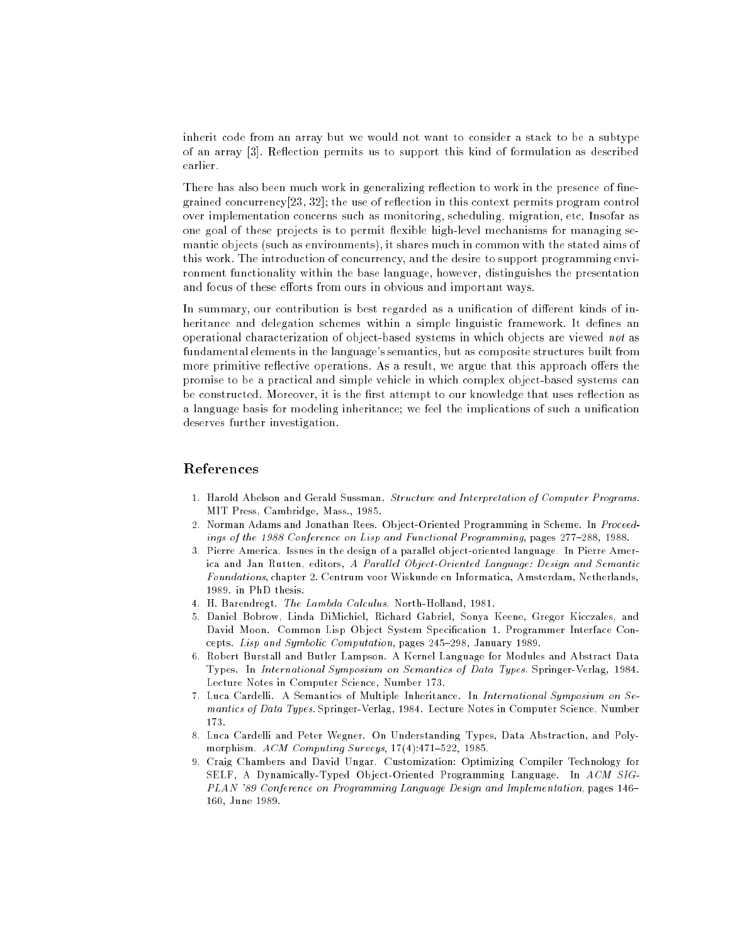inherit code from an array but we would not want to consider a stack to be a subtype of an array [3]. Re
ection permits us to support this kind of formulation as described earlier.

There has also been much work in generalizing reflection to work in the presence of finegrained concurrency $[23, 32]$ ; the use of reflection in this context permits program control over implementation concerns such as monitoring, scheduling, migration, etc. Insofar as one goal of these projects is to permit flexible high-level mechanisms for managing semantic objects (such as environments), it shares much in common with the stated aims of this work. The introduction of concurrency, and the desire to support programming environment functionality within the base language, however, distinguishes the presentation and focus of these efforts from ours in obvious and important ways.

In summary, our contribution is best regarded as a unification of different kinds of inheritance and delegation schemes within a simple linguistic framework. It defines an operational characterization of object-based systems in which objects are viewed not as fundamental elements in the language's semantics, but as composite structures built from more primitive reflective operations. As a result, we argue that this approach offers the promise to be a practical and simple vehicle in which complex object-based systems can be constructed. Moreover, it is the first attempt to our knowledge that uses reflection as a language basis for modeling inheritance; we feel the implications of such a unication deserves further investigation.

- 1. Harold Abelson and Gerald Sussman. Structure and Interpretation of Computer Programs. MIT Press, Cambridge, Mass., 1985.
- 2. Norman Adams and Jonathan Rees. Object-Oriented Programming in Scheme. In Proceedings of the 1988 Conference on Lisp and Functional Programming, pages 277-288, 1988.
- 3. Pierre America. Issues in the design of a parallel ob ject-oriented language. In Pierre America and Jan Rutten, editors, A Parallel Object-Oriented Language: Design and Semantic Foundations, chapter 2. Centrum voor Wiskunde en Informatica, Amsterdam, Netherlands, 1989. in PhD thesis.
- 4. H. Barendregt. The Lambda Calculus. North-Holland, 1981.
- 5. Daniel Bobrow, Linda DiMichiel, Richard Gabriel, Sonya Keene, Gregor Kicczales, and David Moon. Common Lisp Object System Specication 1. Programmer Interface Concepts. Lisp and Symbolic Computation, pages 245-298, January 1989.
- 6. Robert Burstall and Butler Lampson. A Kernel Language for Modules and Abstract Data Types. In International Symposium on Semantics of Data Types. Springer-Verlag, 1984. Lecture Notes in Computer Science, Number 173.
- 7. Luca Cardelli. A Semantics of Multiple Inheritance. In International Symposium on Semantics of Data Types. Springer-Verlag, 1984. Lecture Notes in Computer Science, Number 173.
- 8. Luca Cardelli and Peter Wegner. On Understanding Types, Data Abstraction, and Polymorphism.  $ACM$  Computing Surveys,  $17(4):471-522$ , 1985.
- 9. Craig Chambers and David Ungar. Customization: Optimizing Compiler Technology for SELF, A Dynamically-Typed Object-Oriented Programming Language. In ACM SIG-PLAN '89 Conference on Programming Language Design and Implementation, pages 146-160, June 1989.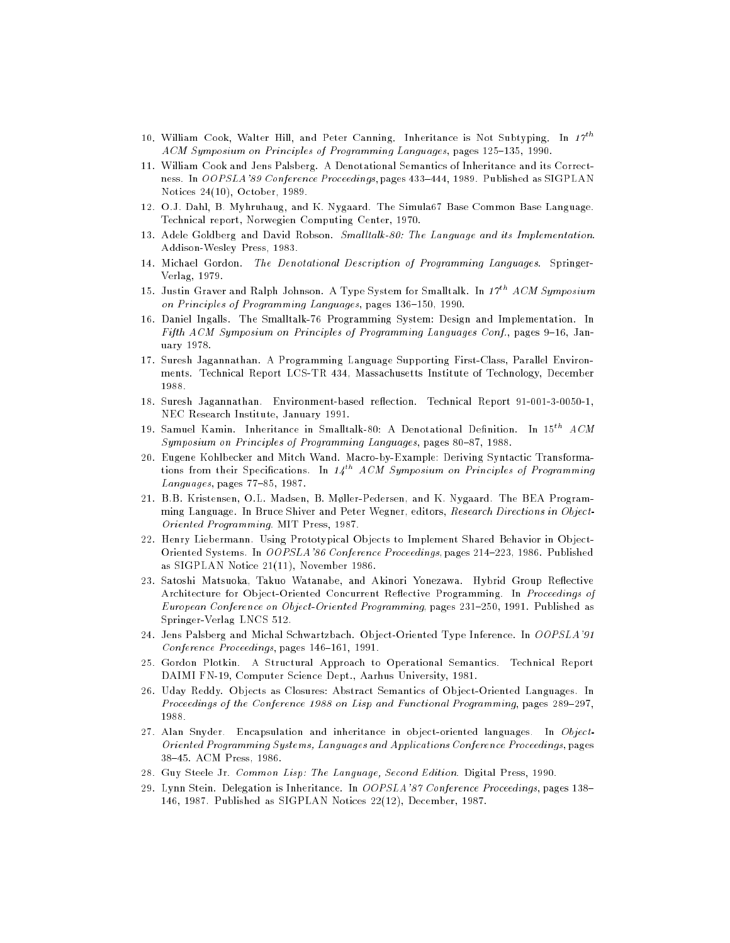- 10. William Cook, Walter Hill, and Peter Canning. Inheritance is Not Subtyping. In  $17^{th}$  $ACM$  Symposium on Principles of Programming Languages, pages 125-135, 1990.
- 11. William Cook and Jens Palsberg. A Denotational Semantics of Inheritance and its Correctness. In OOPSLA'89 Conference Proceedings, pages 433-444, 1989. Published as SIGPLAN Notices 24(10), October, 1989.
- 12. O.J. Dahl, B. Myhruhaug, and K. Nygaard. The Simula67 Base Common Base Language. Technical report, Norwegien Computing Center, 1970.
- 13. Adele Goldberg and David Robson. Smalltalk-80: The Language and its Implementation. Addison-Wesley Press, 1983.
- 14. Michael Gordon. The Denotational Description of Programming Languages. Springer-Verlag, 1979.
- 15. Justin Graver and Ralph Johnson. A Type System for Smalltalk. In  $17^{th}$  ACM Symposium on Principles of Programming Languages, pages  $136{-}150$ , 1990.
- 16. Daniel Ingalls. The Smalltalk-76 Programming System: Design and Implementation. In Fifth  $ACM$  Symposium on Principles of Programming Languages Conf., pages 9-16, January 1978.
- 17. Suresh Jagannathan. A Programming Language Supporting First-Class, Parallel Environments. Technical Report LCS-TR 434, Massachusetts Institute of Technology, December 1988.
- 18. Suresh Jagannathan. Environment-based reflection. Technical Report 91-001-3-0050-1, NEC Research Institute, January 1991.
- 19. Samuel Kamin. Inheritance in Smalltalk-80: A Denotational Definition. In 15<sup>th</sup> ACM Symposium on Principles of Programming Languages, pages 80-87, 1988.
- 20. Eugene Kohlbecker and Mitch Wand. Macro-by-Example: Deriving Syntactic Transformations from their Specifications. In  $14^{th}$  ACM Symposium on Principles of Programming Languages, pages  $77-85$ , 1987.
- 21. B.B. Kristensen, O.L. Madsen, B. Møller-Pedersen, and K. Nygaard. The BEA Programming Language. In Bruce Shiver and Peter Wegner, editors, Research Directions in Object-Oriented Programming. MIT Press, 1987.
- 22. Henry Liebermann. Using Prototypical Objects to Implement Shared Behavior in Object-Oriented Systems. In *OOPSLA'86 Conference Proceedings*, pages 214–223, 1986. Published as SIGPLAN Notice 21(11), November 1986.
- 23. Satoshi Matsuoka, Takuo Watanabe, and Akinori Yonezawa. Hybrid Group Reflective Architecture for Object-Oriented Concurrent Reflective Programming. In Proceedings of European Conference on Object-Oriented Programming, pages  $231-250$ , 1991. Published as Springer-Verlag LNCS 512.
- 24. Jens Palsberg and Michal Schwartzbach. Object-Oriented Type Inference. In OOPSLA'91 Conference Proceedings, pages 146-161, 1991.
- 25. Gordon Plotkin. A Structural Approach to Operational Semantics. Technical Report DAIMI FN-19, Computer Science Dept., Aarhus University, 1981.
- 26. Uday Reddy. Objects as Closures: Abstract Semantics of Object-Oriented Languages. In Proceedings of the Conference 1988 on Lisp and Functional Programming, pages  $289-297$ , 1988.
- 27. Alan Snyder. Encapsulation and inheritance in object-oriented languages. In Object-Oriented Programming Systems, Languages and Applications Conference Proceedings, pages 38{45. ACM Press, 1986.
- 28. Guy Steele Jr. Common Lisp: The Language, Second Edition. Digital Press, 1990.
- 29. Lynn Stein. Delegation is Inheritance. In *OOPSLA'87 Conference Proceedings*, pages 138– 146, 1987. Published as SIGPLAN Notices 22(12), December, 1987.